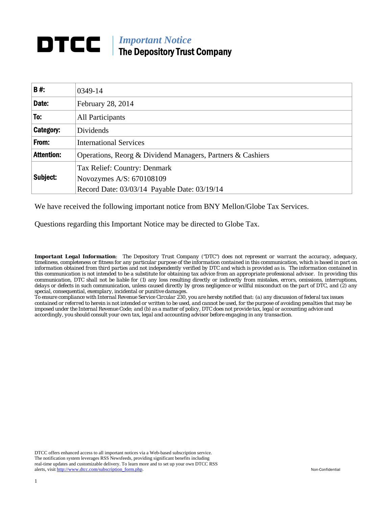# **DTCC** | *Important Notice* The Depository Trust Company

| <b>B#:</b>        | 0349-14                                                    |
|-------------------|------------------------------------------------------------|
| Date:             | February 28, 2014                                          |
| To:               | All Participants                                           |
| Category:         | Dividends                                                  |
| From:             | <b>International Services</b>                              |
| <b>Attention:</b> | Operations, Reorg & Dividend Managers, Partners & Cashiers |
|                   | Tax Relief: Country: Denmark                               |
| Subject:          | Novozymes A/S: 670108109                                   |
|                   | Record Date: 03/03/14 Payable Date: 03/19/14               |

We have received the following important notice from BNY Mellon/Globe Tax Services.

Questions regarding this Important Notice may be directed to Globe Tax.

*Important Legal Information: The Depository Trust Company ("DTC") does not represent or warrant the accuracy, adequacy, timeliness, completeness or fitness for any particular purpose of the information contained in this communication, which is based in part on information obtained from third parties and not independently verified by DTC and which is provided as is. The information contained in this communication is not intended to be a substitute for obtaining tax advice from an appropriate professional advisor. In providing this communication, DTC shall not be liable for (1) any loss resulting directly or indirectly from mistakes, errors, omissions, interruptions, delays or defects in such communication, unless caused directly by gross negligence or willful misconduct on the part of DTC, and (2) any special, consequential, exemplary, incidental or punitive damages.* 

*To ensure compliance with Internal Revenue Service Circular 230, you are hereby notified that: (a) any discussion of federal tax issues contained or referred to herein is not intended or written to be used, and cannot be used, for the purpose of avoiding penalties that may be imposed under the Internal Revenue Code; and (b) as a matter of policy, DTC does not provide tax, legal or accounting advice and accordingly, you should consult your own tax, legal and accounting advisor before engaging in any transaction.*

DTCC offers enhanced access to all important notices via a Web-based subscription service. The notification system leverages RSS Newsfeeds, providing significant benefits including real-time updates and customizable delivery. To learn more and to set up your own DTCC RSS alerts, visit http://www.dtcc.com/subscription\_form.php. Non-Confidential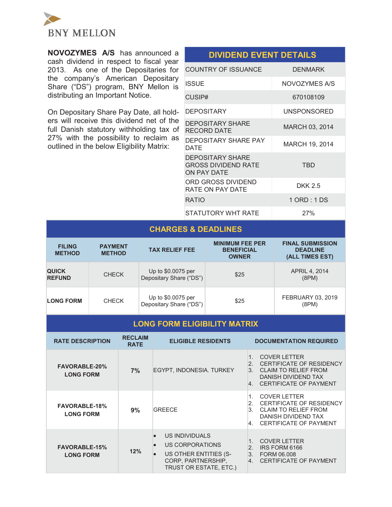

**NOVOZYMES A/S** has announced a cash dividend in respect to fiscal year 2013. As one of the Depositaries for the company's American Depositary Share ("DS") program, BNY Mellon is distributing an Important Notice.

On Depositary Share Pay Date, all holders will receive this dividend net of the full Danish statutory withholding tax of 27% with the possibility to reclaim as outlined in the below Eligibility Matrix:

| PIVIPENP EVENT PETAIEV                                               |                    |
|----------------------------------------------------------------------|--------------------|
| COUNTRY OF ISSUANCE                                                  | <b>DENMARK</b>     |
| <b>ISSUE</b>                                                         | NOVOZYMES A/S      |
| CUSIP#                                                               | 670108109          |
| <b>DEPOSITARY</b>                                                    | <b>UNSPONSORED</b> |
| <b>DEPOSITARY SHARE</b><br>RECORD DATE                               | MARCH 03, 2014     |
| DEPOSITARY SHARE PAY<br>DATE                                         | MARCH 19, 2014     |
| <b>DEPOSITARY SHARE</b><br><b>GROSS DIVIDEND RATE</b><br>ON PAY DATE | TBD                |
| ORD GROSS DIVIDEND<br>RATE ON PAY DATE                               | <b>DKK 2.5</b>     |
| <b>RATIO</b>                                                         | 1 ORD : 1 DS       |
| STATUTORY WHT RATE                                                   | 27%                |

**DIVIDEND EVENT DETAILS** 

# **CHARGES & DEADLINES**

| <b>FILING</b><br><b>METHOD</b> | <b>PAYMENT</b><br><b>METHOD</b> | <b>TAX RELIEF FEE</b>                         | <b>MINIMUM FEE PER</b><br><b>BENEFICIAL</b><br><b>OWNER</b> | <b>FINAL SUBMISSION</b><br><b>DEADLINE</b><br>(ALL TIMES EST) |
|--------------------------------|---------------------------------|-----------------------------------------------|-------------------------------------------------------------|---------------------------------------------------------------|
| <b>QUICK</b><br><b>REFUND</b>  | <b>CHECK</b>                    | Up to \$0.0075 per<br>Depositary Share ("DS") | \$25                                                        | APRIL 4, 2014<br>(8PM)                                        |
| <b>LONG FORM</b>               | <b>CHECK</b>                    | Up to \$0.0075 per<br>Depositary Share ("DS") | \$25                                                        | FEBRUARY 03, 2019<br>(8PM)                                    |

### **LONG FORM ELIGIBILITY MATRIX**

| <b>RATE DESCRIPTION</b>                  | <b>RECLAIM</b><br><b>RATE</b> | <b>ELIGIBLE RESIDENTS</b>                                                                                               | <b>DOCUMENTATION REQUIRED</b>                                                                                                                                                          |
|------------------------------------------|-------------------------------|-------------------------------------------------------------------------------------------------------------------------|----------------------------------------------------------------------------------------------------------------------------------------------------------------------------------------|
| <b>FAVORABLE-20%</b><br><b>LONG FORM</b> | 7%                            | EGYPT, INDONESIA. TURKEY                                                                                                | <b>COVER LETTER</b><br>$\mathbf{1}$<br>CERTIFICATE OF RESIDENCY<br>2 <sup>1</sup><br><b>CLAIM TO RELIEF FROM</b><br>3 <sup>1</sup><br>DANISH DIVIDEND TAX<br>4. CERTIFICATE OF PAYMENT |
| <b>FAVORABLE-18%</b><br><b>LONG FORM</b> | 9%                            | <b>GREECE</b>                                                                                                           | <b>COVER LETTER</b><br>CERTIFICATE OF RESIDENCY<br>2.<br><b>CLAIM TO RELIEF FROM</b><br>3.<br>DANISH DIVIDEND TAX<br>4. CERTIFICATE OF PAYMENT                                         |
| <b>FAVORABLE-15%</b><br><b>LONG FORM</b> | 12%                           | US INDIVIDUALS<br>US CORPORATIONS<br>$\bullet$<br>US OTHER ENTITIES (S-<br>CORP, PARTNERSHIP,<br>TRUST OR ESTATE, ETC.) | <b>COVER LETTER</b><br>IRS FORM 6166<br>2.<br>3 <sub>1</sub><br>FORM 06,008<br><b>CERTIFICATE OF PAYMENT</b><br>4 <sup>1</sup>                                                         |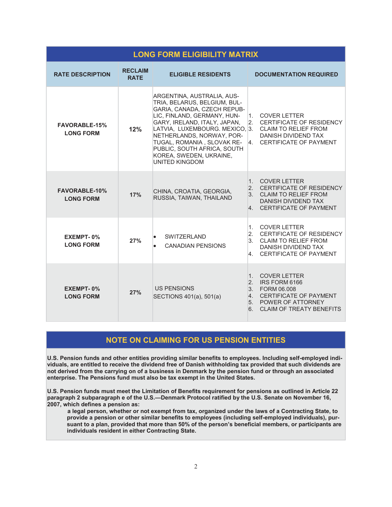| <b>LONG FORM ELIGIBILITY MATRIX</b>      |                               |                                                                                                                                                                                                                                                                                                                                   |                                                                                                                                                                  |  |  |
|------------------------------------------|-------------------------------|-----------------------------------------------------------------------------------------------------------------------------------------------------------------------------------------------------------------------------------------------------------------------------------------------------------------------------------|------------------------------------------------------------------------------------------------------------------------------------------------------------------|--|--|
| <b>RATE DESCRIPTION</b>                  | <b>RECLAIM</b><br><b>RATE</b> | <b>ELIGIBLE RESIDENTS</b>                                                                                                                                                                                                                                                                                                         | <b>DOCUMENTATION REQUIRED</b>                                                                                                                                    |  |  |
| <b>FAVORABLE-15%</b><br><b>LONG FORM</b> | 12%                           | ARGENTINA, AUSTRALIA, AUS-<br>TRIA, BELARUS, BELGIUM, BUL-<br>GARIA, CANADA, CZECH REPUB-<br>LIC, FINLAND, GERMANY, HUN-<br>GARY, IRELAND, ITALY, JAPAN,<br>LATVIA, LUXEMBOURG. MEXICO, 3.<br>NETHERLANDS, NORWAY, POR-<br>TUGAL, ROMANIA, SLOVAK RE-<br>PUBLIC, SOUTH AFRICA, SOUTH<br>KOREA, SWEDEN, UKRAINE,<br>UNITED KINGDOM | <b>COVER LETTER</b><br>1.<br>CERTIFICATE OF RESIDENCY<br>2.<br><b>CLAIM TO RELIEF FROM</b><br>DANISH DIVIDEND TAX<br><b>CERTIFICATE OF PAYMENT</b><br>4.         |  |  |
| <b>FAVORABLE-10%</b><br><b>LONG FORM</b> | 17%                           | CHINA, CROATIA, GEORGIA,<br>RUSSIA, TAIWAN, THAILAND                                                                                                                                                                                                                                                                              | <b>COVER LETTER</b><br>1.<br>2. CERTIFICATE OF RESIDENCY<br>3. CLAIM TO RELIEF FROM<br>DANISH DIVIDEND TAX<br>4. CERTIFICATE OF PAYMENT                          |  |  |
| EXEMPT-0%<br><b>LONG FORM</b>            | 27%                           | <b>SWITZERLAND</b><br>$\bullet$<br><b>CANADIAN PENSIONS</b>                                                                                                                                                                                                                                                                       | <b>COVER LETTER</b><br>1.<br>2.<br>CERTIFICATE OF RESIDENCY<br>3 <sub>1</sub><br><b>CLAIM TO RELIEF FROM</b><br>DANISH DIVIDEND TAX<br>4. CERTIFICATE OF PAYMENT |  |  |
| EXEMPT-0%<br><b>LONG FORM</b>            | 27%                           | <b>US PENSIONS</b><br>SECTIONS 401(a), 501(a)                                                                                                                                                                                                                                                                                     | 1. COVER LETTER<br>2. IRS FORM 6166<br>3. FORM 06,008<br>4.<br>CERTIFICATE OF PAYMENT<br>5. POWER OF ATTORNEY<br><b>CLAIM OF TREATY BENEFITS</b><br>6.           |  |  |

# **NOTE ON CLAIMING FOR US PENSION ENTITIES**

**U.S. Pension funds and other entities providing similar benefits to employees. Including self-employed individuals, are entitled to receive the dividend free of Danish withholding tax provided that such dividends are not derived from the carrying on of a business in Denmark by the pension fund or through an associated enterprise. The Pensions fund must also be tax exempt in the United States.** 

**U.S. Pension funds must meet the Limitation of Benefits requirement for pensions as outlined in Article 22 paragraph 2 subparagraph e of the U.S.—Denmark Protocol ratified by the U.S. Senate on November 16, 2007, which defines a pension as:** 

**a legal person, whether or not exempt from tax, organized under the laws of a Contracting State, to provide a pension or other similar benefits to employees (including self-employed individuals), pursuant to a plan, provided that more than 50% of the person's beneficial members, or participants are individuals resident in either Contracting State.**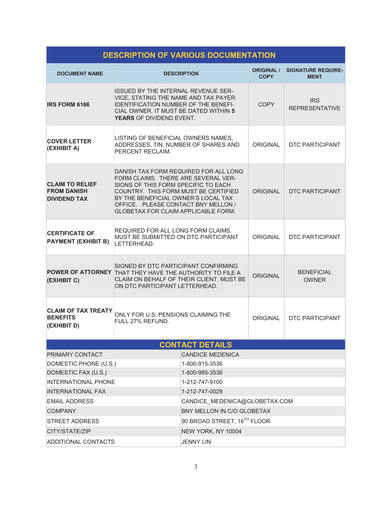| DESCRIPTION OF VARIOUS DOCUMENTATION                                |                                                                                                                                                                                                                                                                                         |                                         |                                  |                                          |  |  |
|---------------------------------------------------------------------|-----------------------------------------------------------------------------------------------------------------------------------------------------------------------------------------------------------------------------------------------------------------------------------------|-----------------------------------------|----------------------------------|------------------------------------------|--|--|
| <b>DOCUMENT NAME</b>                                                |                                                                                                                                                                                                                                                                                         | <b>DESCRIPTION</b>                      | <b>ORIGINAL /</b><br><b>COPY</b> | <b>SIGNATURE REQUIRE-</b><br><b>MENT</b> |  |  |
| <b>IRS FORM 6166</b>                                                | <b>ISSUED BY THE INTERNAL REVENUE SER-</b><br>VICE, STATING THE NAME AND TAX PAYER<br><b>IDENTIFICATION NUMBER OF THE BENEFI-</b><br>CIAL OWNER. IT MUST BE DATED WITHIN 5<br>YEARS OF DIVIDEND EVENT.                                                                                  |                                         | <b>COPY</b>                      | <b>IRS</b><br><b>REPRESENTATIVE</b>      |  |  |
| <b>COVER LETTER</b><br>(EXHIBIT A)                                  | LISTING OF BENEFICIAL OWNERS NAMES,<br>ADDRESSES, TIN, NUMBER OF SHARES AND<br>PERCENT RECLAIM.                                                                                                                                                                                         |                                         | <b>ORIGINAL</b>                  | <b>DTC PARTICIPANT</b>                   |  |  |
| <b>CLAIM TO RELIEF</b><br><b>FROM DANISH</b><br><b>DIVIDEND TAX</b> | DANISH TAX FORM REQUIRED FOR ALL LONG<br>FORM CLAIMS. THERE ARE SEVERAL VER-<br>SIONS OF THIS FORM SPECIFIC TO EACH<br>COUNTRY. THIS FORM MUST BE CERTIFIED<br>BY THE BENEFICIAL OWNER'S LOCAL TAX<br>OFFICE. PLEASE CONTACT BNY MELLON /<br><b>GLOBETAX FOR CLAIM APPLICABLE FORM.</b> |                                         | <b>ORIGINAL</b>                  | <b>DTC PARTICIPANT</b>                   |  |  |
| <b>CERTIFICATE OF</b><br><b>PAYMENT (EXHIBIT B)</b>                 | REQUIRED FOR ALL LONG FORM CLAIMS.<br>MUST BE SUBMITTED ON DTC PARTICIPANT<br>LETTERHEAD.                                                                                                                                                                                               |                                         | ORIGINAL                         | <b>DTC PARTICIPANT</b>                   |  |  |
| (EXHIBIT C)                                                         | SIGNED BY DTC PARTICIPANT CONFIRMING<br>POWER OF ATTORNEY THAT THEY HAVE THE AUTHORITY TO FILE A<br>CLAIM ON BEHALF OF THEIR CLIENT. MUST BE<br>ON DTC PARTICIPANT LETTERHEAD.                                                                                                          |                                         | <b>ORIGINAL</b>                  | <b>BENEFICIAL</b><br><b>OWNER</b>        |  |  |
| <b>CLAIM OF TAX TREATY</b><br><b>BENEFITS</b><br>(EXHIBIT D)        | ONLY FOR U.S. PENSIONS CLAIMING THE<br>FULL 27% REFUND.                                                                                                                                                                                                                                 |                                         | ORIGINAL                         | <b>DTC PARTICIPANT</b>                   |  |  |
|                                                                     |                                                                                                                                                                                                                                                                                         | <b>CONTACT DETAILS</b>                  |                                  |                                          |  |  |
| PRIMARY CONTACT                                                     |                                                                                                                                                                                                                                                                                         | <b>CANDICE MEDENICA</b>                 |                                  |                                          |  |  |
| DOMESTIC PHONE (U.S.)                                               |                                                                                                                                                                                                                                                                                         | 1-800-915-3536                          |                                  |                                          |  |  |
| DOMESTIC FAX (U.S.)                                                 |                                                                                                                                                                                                                                                                                         | 1-800-985-3536                          |                                  |                                          |  |  |
| <b>INTERNATIONAL PHONE</b>                                          |                                                                                                                                                                                                                                                                                         | 1-212-747-9100                          |                                  |                                          |  |  |
| <b>INTERNATIONAL FAX</b>                                            |                                                                                                                                                                                                                                                                                         | 1-212-747-0029                          |                                  |                                          |  |  |
| <b>EMAIL ADDRESS</b>                                                |                                                                                                                                                                                                                                                                                         | CANDICE MEDENICA@GLOBETAX.COM           |                                  |                                          |  |  |
| <b>COMPANY</b>                                                      |                                                                                                                                                                                                                                                                                         | BNY MELLON IN C/O GLOBETAX              |                                  |                                          |  |  |
| <b>STREET ADDRESS</b>                                               |                                                                                                                                                                                                                                                                                         | 90 BROAD STREET, 16 <sup>TH</sup> FLOOR |                                  |                                          |  |  |
| CITY/STATE/ZIP                                                      |                                                                                                                                                                                                                                                                                         | NEW YORK, NY 10004                      |                                  |                                          |  |  |
| <b>ADDITIONAL CONTACTS</b>                                          |                                                                                                                                                                                                                                                                                         |                                         | <b>JENNY LIN</b>                 |                                          |  |  |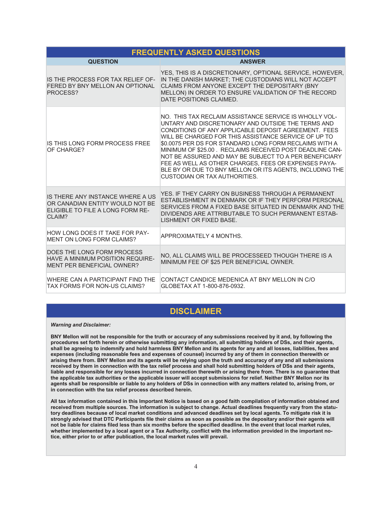|                                                                                                                    | <b>FREQUENTLY ASKED QUESTIONS</b>                                                                                                                                                                                                                                                                                                                                                                                                                                                                                                                                        |  |  |  |
|--------------------------------------------------------------------------------------------------------------------|--------------------------------------------------------------------------------------------------------------------------------------------------------------------------------------------------------------------------------------------------------------------------------------------------------------------------------------------------------------------------------------------------------------------------------------------------------------------------------------------------------------------------------------------------------------------------|--|--|--|
| <b>QUESTION</b>                                                                                                    | <b>ANSWER</b>                                                                                                                                                                                                                                                                                                                                                                                                                                                                                                                                                            |  |  |  |
| IS THE PROCESS FOR TAX RELIEF OF-<br>FERED BY BNY MELLON AN OPTIONAL<br>PROCESS?                                   | YES, THIS IS A DISCRETIONARY, OPTIONAL SERVICE, HOWEVER,<br>IN THE DANISH MARKET; THE CUSTODIANS WILL NOT ACCEPT<br>CLAIMS FROM ANYONE EXCEPT THE DEPOSITARY (BNY<br>MELLON) IN ORDER TO ENSURE VALIDATION OF THE RECORD<br>DATE POSITIONS CLAIMED.                                                                                                                                                                                                                                                                                                                      |  |  |  |
| IS THIS LONG FORM PROCESS FREE<br>OF CHARGE?                                                                       | NO. THIS TAX RECLAIM ASSISTANCE SERVICE IS WHOLLY VOL-<br>UNTARY AND DISCRETIONARY AND OUTSIDE THE TERMS AND<br>CONDITIONS OF ANY APPLICABLE DEPOSIT AGREEMENT. FEES<br>WILL BE CHARGED FOR THIS ASSISTANCE SERVICE OF UP TO<br>\$0.0075 PER DS FOR STANDARD LONG FORM RECLAIMS WITH A<br>MINIMUM OF \$25.00. RECLAIMS RECEIVED POST DEADLINE CAN-<br>NOT BE ASSURED AND MAY BE SUBJECT TO A PER BENEFICIARY<br>FEE AS WELL AS OTHER CHARGES, FEES OR EXPENSES PAYA-<br>BLE BY OR DUE TO BNY MELLON OR ITS AGENTS, INCLUDING THE<br><b>CUSTODIAN OR TAX AUTHORITIES.</b> |  |  |  |
| IS THERE ANY INSTANCE WHERE A US<br>OR CANADIAN ENTITY WOULD NOT BE<br>ELIGIBLE TO FILE A LONG FORM RE-<br>CI AIM? | YES. IF THEY CARRY ON BUSINESS THROUGH A PERMANENT<br>ESTABLISHMENT IN DENMARK OR IF THEY PERFORM PERSONAL<br>SERVICES FROM A FIXED BASE SITUATED IN DENMARK AND THE<br>DIVIDENDS ARE ATTRIBUTABLE TO SUCH PERMANENT ESTAB-<br>LISHMENT OR FIXED BASE.                                                                                                                                                                                                                                                                                                                   |  |  |  |
| HOW LONG DOES IT TAKE FOR PAY-<br>MENT ON LONG FORM CLAIMS?                                                        | APPROXIMATELY 4 MONTHS.                                                                                                                                                                                                                                                                                                                                                                                                                                                                                                                                                  |  |  |  |
| DOES THE LONG FORM PROCESS<br>HAVE A MINIMUM POSITION REQUIRE-<br>MENT PER BENEFICIAL OWNER?                       | NO, ALL CLAIMS WILL BE PROCESSEED THOUGH THERE IS A<br>MINIMUM FEE OF \$25 PER BENEFICIAL OWNER.                                                                                                                                                                                                                                                                                                                                                                                                                                                                         |  |  |  |
| WHERE CAN A PARTICIPANT FIND THE<br>TAX FORMS FOR NON-US CLAIMS?                                                   | CONTACT CANDICE MEDENICA AT BNY MELLON IN C/O<br>GLOBETAX AT 1-800-876-0932.                                                                                                                                                                                                                                                                                                                                                                                                                                                                                             |  |  |  |

# **DISCLAIMER**

*Warning and Disclaimer:* 

**BNY Mellon will not be responsible for the truth or accuracy of any submissions received by it and, by following the procedures set forth herein or otherwise submitting any information, all submitting holders of DSs, and their agents, shall be agreeing to indemnify and hold harmless BNY Mellon and its agents for any and all losses, liabilities, fees and expenses (including reasonable fees and expenses of counsel) incurred by any of them in connection therewith or arising there from. BNY Mellon and its agents will be relying upon the truth and accuracy of any and all submissions received by them in connection with the tax relief process and shall hold submitting holders of DSs and their agents, liable and responsible for any losses incurred in connection therewith or arising there from. There is no guarantee that the applicable tax authorities or the applicable issuer will accept submissions for relief. Neither BNY Mellon nor its agents shall be responsible or liable to any holders of DSs in connection with any matters related to, arising from, or in connection with the tax relief process described herein.** 

**All tax information contained in this Important Notice is based on a good faith compilation of information obtained and received from multiple sources. The information is subject to change. Actual deadlines frequently vary from the statutory deadlines because of local market conditions and advanced deadlines set by local agents. To mitigate risk it is strongly advised that DTC Participants file their claims as soon as possible as the depositary and/or their agents will not be liable for claims filed less than six months before the specified deadline. In the event that local market rules, whether implemented by a local agent or a Tax Authority, conflict with the information provided in the important notice, either prior to or after publication, the local market rules will prevail.**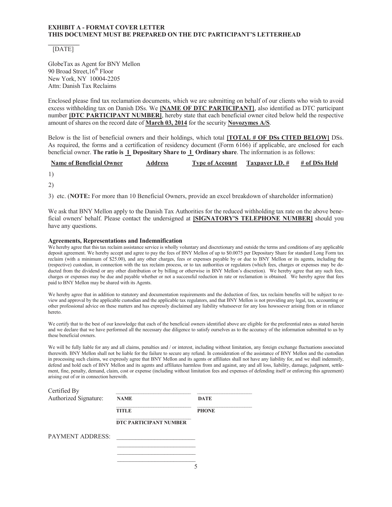#### **EXHIBIT A - FORMAT COVER LETTER THIS DOCUMENT MUST BE PREPARED ON THE DTC PARTICIPANT'S LETTERHEAD**

#### [DATE]

GlobeTax as Agent for BNY Mellon 90 Broad Street,  $16^{th}$  Floor New York, NY 10004-2205 Attn: Danish Tax Reclaims

Enclosed please find tax reclamation documents, which we are submitting on behalf of our clients who wish to avoid excess withholding tax on Danish DSs. We **[NAME OF DTC PARTICIPANT]**, also identified as DTC participant number **[DTC PARTICIPANT NUMBER]**, hereby state that each beneficial owner cited below held the respective amount of shares on the record date of **March 03, 2014** for the security **Novozymes A/S**.

Below is the list of beneficial owners and their holdings, which total **[TOTAL # OF DSs CITED BELOW]** DSs. As required, the forms and a certification of residency document (Form 6166) if applicable, are enclosed for each beneficial owner. **The ratio is 1 Depositary Share to 1 Ordinary share**. The information is as follows:

| <b>Name of Beneficial Owner</b> | Address | <b>Type of Account</b> | Taxpayer I.D. # | # of DSs Held |
|---------------------------------|---------|------------------------|-----------------|---------------|
|---------------------------------|---------|------------------------|-----------------|---------------|

- 1)
- 2)

3) etc. (**NOTE:** For more than 10 Beneficial Owners, provide an excel breakdown of shareholder information)

We ask that BNY Mellon apply to the Danish Tax Authorities for the reduced withholding tax rate on the above beneficial owners' behalf. Please contact the undersigned at **[SIGNATORY'S TELEPHONE NUMBER]** should you have any questions.

#### **Agreements, Representations and Indemnification**

We hereby agree that this tax reclaim assistance service is wholly voluntary and discretionary and outside the terms and conditions of any applicable deposit agreement. We hereby accept and agree to pay the fees of BNY Mellon of up to \$0.0075 per Depositary Share for standard Long Form tax reclaim (with a minimum of \$25.00), and any other charges, fees or expenses payable by or due to BNY Mellon or its agents, including the (respective) custodian, in connection with the tax reclaim process, or to tax authorities or regulators (which fees, charges or expenses may be deducted from the dividend or any other distribution or by billing or otherwise in BNY Mellon's discretion). We hereby agree that any such fees, charges or expenses may be due and payable whether or not a successful reduction in rate or reclamation is obtained. We hereby agree that fees paid to BNY Mellon may be shared with its Agents.

We hereby agree that in addition to statutory and documentation requirements and the deduction of fees, tax reclaim benefits will be subject to review and approval by the applicable custodian and the applicable tax regulators, and that BNY Mellon is not providing any legal, tax, accounting or other professional advice on these matters and has expressly disclaimed any liability whatsoever for any loss howsoever arising from or in reliance hereto.

We certify that to the best of our knowledge that each of the beneficial owners identified above are eligible for the preferential rates as stated herein and we declare that we have performed all the necessary due diligence to satisfy ourselves as to the accuracy of the information submitted to us by these beneficial owners.

We will be fully liable for any and all claims, penalties and / or interest, including without limitation, any foreign exchange fluctuations associated therewith. BNY Mellon shall not be liable for the failure to secure any refund. In consideration of the assistance of BNY Mellon and the custodian in processing such claims, we expressly agree that BNY Mellon and its agents or affiliates shall not have any liability for, and we shall indemnify, defend and hold each of BNY Mellon and its agents and affiliates harmless from and against, any and all loss, liability, damage, judgment, settlement, fine, penalty, demand, claim, cost or expense (including without limitation fees and expenses of defending itself or enforcing this agreement) arising out of or in connection herewith.

| Certified By          |                               |              |
|-----------------------|-------------------------------|--------------|
| Authorized Signature: | <b>NAME</b>                   | <b>DATE</b>  |
|                       | <b>TITLE</b>                  | <b>PHONE</b> |
|                       | <b>DTC PARTICIPANT NUMBER</b> |              |
| PAYMENT ADDRESS:      |                               |              |
|                       |                               |              |

 $\mathcal{L}_\text{max}$  and  $\mathcal{L}_\text{max}$  and  $\mathcal{L}_\text{max}$  and  $\mathcal{L}_\text{max}$  and  $\mathcal{L}_\text{max}$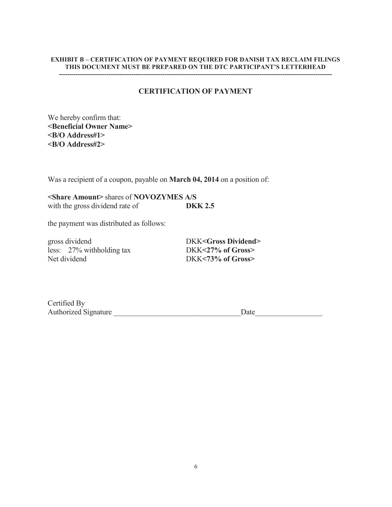#### **EXHIBIT B – CERTIFICATION OF PAYMENT REQUIRED FOR DANISH TAX RECLAIM FILINGS THIS DOCUMENT MUST BE PREPARED ON THE DTC PARTICIPANT'S LETTERHEAD ------------------------------------------------------------------------------------------------------------------------------------**

# **CERTIFICATION OF PAYMENT**

We hereby confirm that: **<Beneficial Owner Name> <B/O Address#1> <B/O Address#2>** 

Was a recipient of a coupon, payable on **March 04, 2014** on a position of:

**<Share Amount>** shares of **NOVOZYMES A/S**  with the gross dividend rate of **DKK 2.5** 

the payment was distributed as follows:

gross dividend DKK<Gross Dividend> less: 27% withholding tax DKK**<27% of Gross>**  Net dividend DKK<73% of Gross>

| Certified By                |      |
|-----------------------------|------|
| <b>Authorized Signature</b> | Date |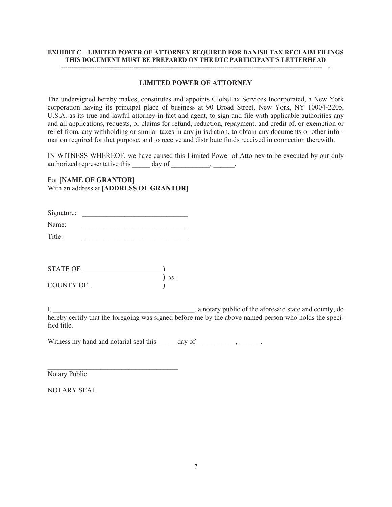#### **EXHIBIT C – LIMITED POWER OF ATTORNEY REQUIRED FOR DANISH TAX RECLAIM FILINGS THIS DOCUMENT MUST BE PREPARED ON THE DTC PARTICIPANT'S LETTERHEAD**

**------------------------------------------------------------------------------------------------------------------------------—-** 

## **LIMITED POWER OF ATTORNEY**

The undersigned hereby makes, constitutes and appoints GlobeTax Services Incorporated, a New York corporation having its principal place of business at 90 Broad Street, New York, NY 10004-2205, U.S.A. as its true and lawful attorney-in-fact and agent, to sign and file with applicable authorities any and all applications, requests, or claims for refund, reduction, repayment, and credit of, or exemption or relief from, any withholding or similar taxes in any jurisdiction, to obtain any documents or other information required for that purpose, and to receive and distribute funds received in connection therewith.

IN WITNESS WHEREOF, we have caused this Limited Power of Attorney to be executed by our duly authorized representative this  $\qquad \qquad \text{day of } \qquad \qquad$ 

For **[NAME OF GRANTOR]** With an address at **[ADDRESS OF GRANTOR]**

| Signature: |  |
|------------|--|
| Name:      |  |
| Title:     |  |

| STATE OF  |     |
|-----------|-----|
|           | SS. |
| COUNTY OF |     |

\_\_\_\_\_\_\_\_\_\_\_\_\_\_\_\_\_\_\_\_\_\_\_\_\_\_\_\_\_\_\_\_\_\_\_\_\_

I, a notary public of the aforesaid state and county, do hereby certify that the foregoing was signed before me by the above named person who holds the specified title.

Witness my hand and notarial seal this \_\_\_\_\_ day of \_\_\_\_\_\_\_\_\_, \_\_\_\_\_\_.

Notary Public

NOTARY SEAL